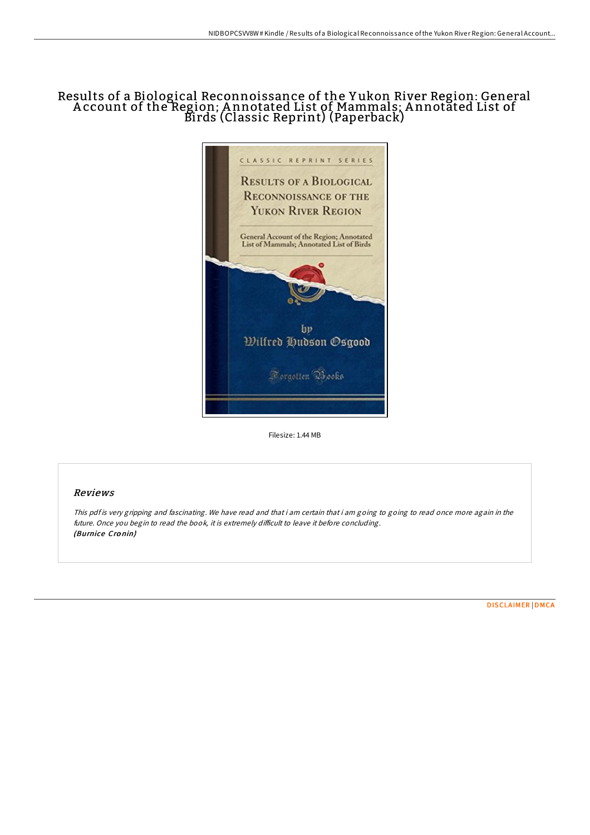## Results of a Biological Reconnoissance of the Y ukon River Region: General A ccount of the Region; A nnotated List of Mammals; A nnotated List of Birds (Classic Reprint) (Paperback)



Filesize: 1.44 MB

## Reviews

This pdf is very gripping and fascinating. We have read and that i am certain that i am going to going to read once more again in the future. Once you begin to read the book, it is extremely difficult to leave it before concluding. (Burnice Cro nin)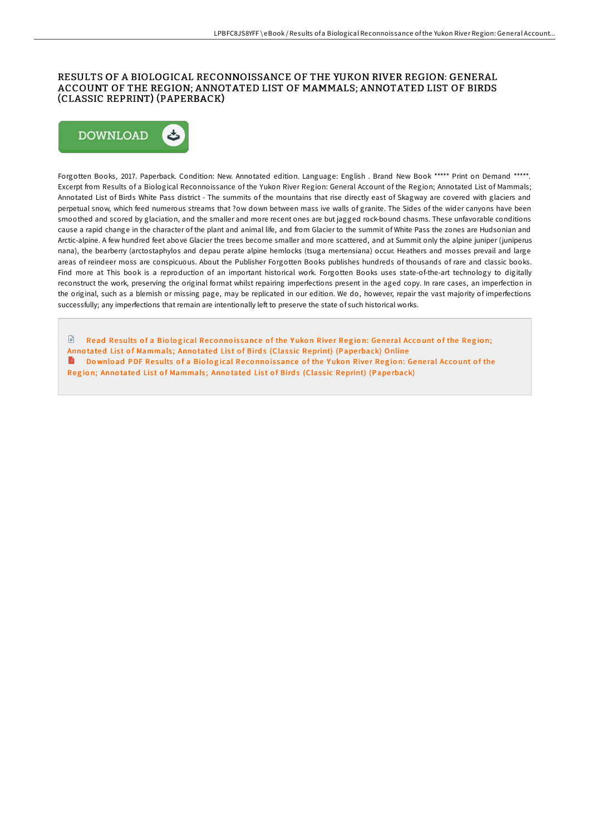## RESULTS OF A BIOLOGICAL RECONNOISSANCE OF THE YUKON RIVER REGION: GENERAL ACCOUNT OF THE REGION; ANNOTATED LIST OF MAMMALS; ANNOTATED LIST OF BIRDS (CLASSIC REPRINT) (PAPERBACK)



Forgotten Books, 2017. Paperback. Condition: New. Annotated edition. Language: English . Brand New Book \*\*\*\*\* Print on Demand \*\*\*\*\*. Excerpt from Results of a Biological Reconnoissance of the Yukon River Region: General Account of the Region; Annotated List of Mammals; Annotated List of Birds White Pass district - The summits of the mountains that rise directly east of Skagway are covered with glaciers and perpetual snow, which feed numerous streams that ?ow down between mass ive walls of granite. The Sides of the wider canyons have been smoothed and scored by glaciation, and the smaller and more recent ones are but jagged rock-bound chasms. These unfavorable conditions cause a rapid change in the character of the plant and animal life, and from Glacier to the summit of White Pass the zones are Hudsonian and Arctic-alpine. A few hundred feet above Glacier the trees become smaller and more scattered, and at Summit only the alpine juniper (juniperus nana), the bearberry (arctostaphylos and depau perate alpine hemlocks (tsuga mertensiana) occur. Heathers and mosses prevail and large areas of reindeer moss are conspicuous. About the Publisher Forgotten Books publishes hundreds of thousands of rare and classic books. Find more at This book is a reproduction of an important historical work. Forgotten Books uses state-of-the-art technology to digitally reconstruct the work, preserving the original format whilst repairing imperfections present in the aged copy. In rare cases, an imperfection in the original, such as a blemish or missing page, may be replicated in our edition. We do, however, repair the vast majority of imperfections successfully; any imperfections that remain are intentionally left to preserve the state of such historical works.

 $\mathbb{R}$ Read Results of a Biological Reconnoissance of the Yukon River Region: General Account of the Region: Anno tated List of [Mammals](http://almighty24.tech/results-of-a-biological-reconnoissance-of-the-yu.html); Anno tated List of Birds (Classic Reprint) (Paperback) Online Do wnload PDF Results of a Biological Reconnoissance of the Yukon River Region: General Account of the Region; Annotated List of [Mammals](http://almighty24.tech/results-of-a-biological-reconnoissance-of-the-yu.html); Annotated List of Birds (Classic Reprint) (Paperback)